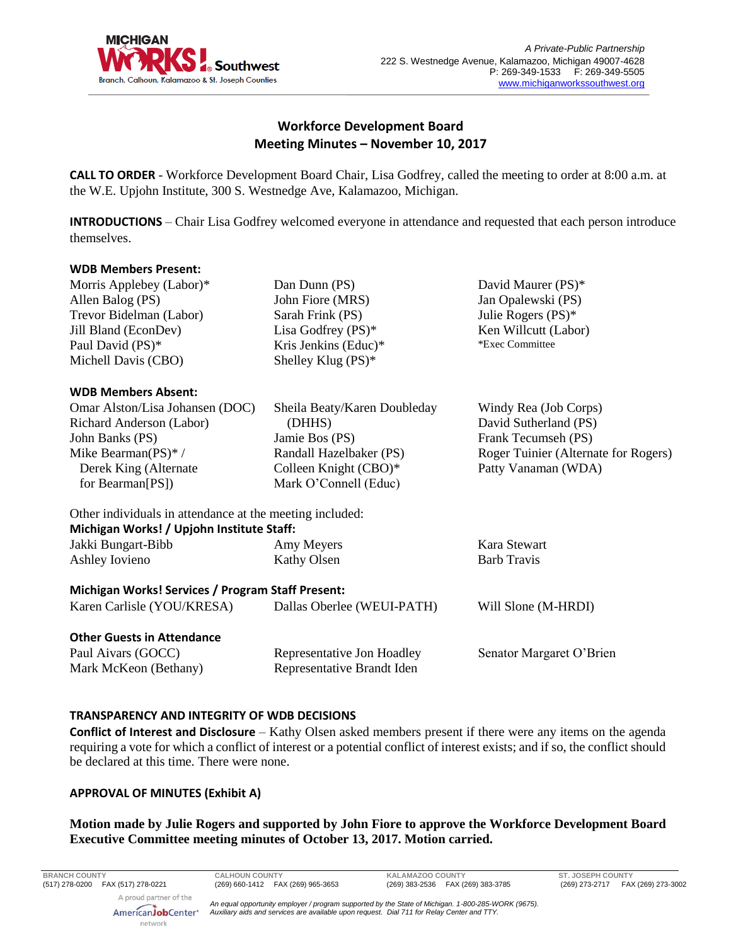

# **Workforce Development Board Meeting Minutes – November 10, 2017**

**CALL TO ORDER** - Workforce Development Board Chair, Lisa Godfrey, called the meeting to order at 8:00 a.m. at the W.E. Upjohn Institute, 300 S. Westnedge Ave, Kalamazoo, Michigan.

**INTRODUCTIONS** – Chair Lisa Godfrey welcomed everyone in attendance and requested that each person introduce themselves.

### **WDB Members Present:**

Morris Applebey (Labor)\* Allen Balog (PS) Trevor Bidelman (Labor) Jill Bland (EconDev) Paul David (PS)\* Michell Davis (CBO)

### **WDB Members Absent:**

Omar Alston/Lisa Johansen (DOC) Richard Anderson (Labor) John Banks (PS) Mike Bearman(PS)\* / Derek King (Alternate for Bearman[PS])

Dan Dunn (PS) John Fiore (MRS) Sarah Frink (PS) Lisa Godfrey (PS)\* Kris Jenkins (Educ)\* Shelley Klug (PS)\*

 (DHHS) Jamie Bos (PS)

Sheila Beaty/Karen Doubleday

Randall Hazelbaker (PS) Colleen Knight (CBO)\* Mark O'Connell (Educ)

Jan Opalewski (PS) Julie Rogers (PS)\* Ken Willcutt (Labor) \*Exec Committee

David Maurer (PS)\*

Windy Rea (Job Corps) David Sutherland (PS) Frank Tecumseh (PS) Roger Tuinier (Alternate for Rogers) Patty Vanaman (WDA)

Other individuals in attendance at the meeting included: **Michigan Works! / Upjohn Institute Staff:**

| Jakki Bungart-Bibb                                                              | Amy Meyers                 | Kara Stewart        |
|---------------------------------------------------------------------------------|----------------------------|---------------------|
| Ashley Iovieno                                                                  | Kathy Olsen                | <b>Barb Travis</b>  |
| Michigan Works! Services / Program Staff Present:<br>Karen Carlisle (YOU/KRESA) | Dallas Oberlee (WEUI-PATH) | Will Slone (M-HRDI) |

# **Other Guests in Attendance**

Paul Aivars (GOCC) Mark McKeon (Bethany) Representative Jon Hoadley Representative Brandt Iden

Senator Margaret O'Brien

# **TRANSPARENCY AND INTEGRITY OF WDB DECISIONS**

**Conflict of Interest and Disclosure** – Kathy Olsen asked members present if there were any items on the agenda requiring a vote for which a conflict of interest or a potential conflict of interest exists; and if so, the conflict should be declared at this time. There were none.

# **APPROVAL OF MINUTES (Exhibit A)**

# **Motion made by Julie Rogers and supported by John Fiore to approve the Workforce Development Board Executive Committee meeting minutes of October 13, 2017. Motion carried.**

A proud partner of the

**BRANCH COUNTY CALHOUN COUNTY KALAMAZOO COUNTY ST. JOSEPH COUNTY**

AmericanJobCenter<sup>®</sup> network

*An equal opportunity employer / program supported by the State of Michigan. 1-800-285-WORK (9675). Auxiliary aids and services are available upon request. Dial 711 for Relay Center and TTY.*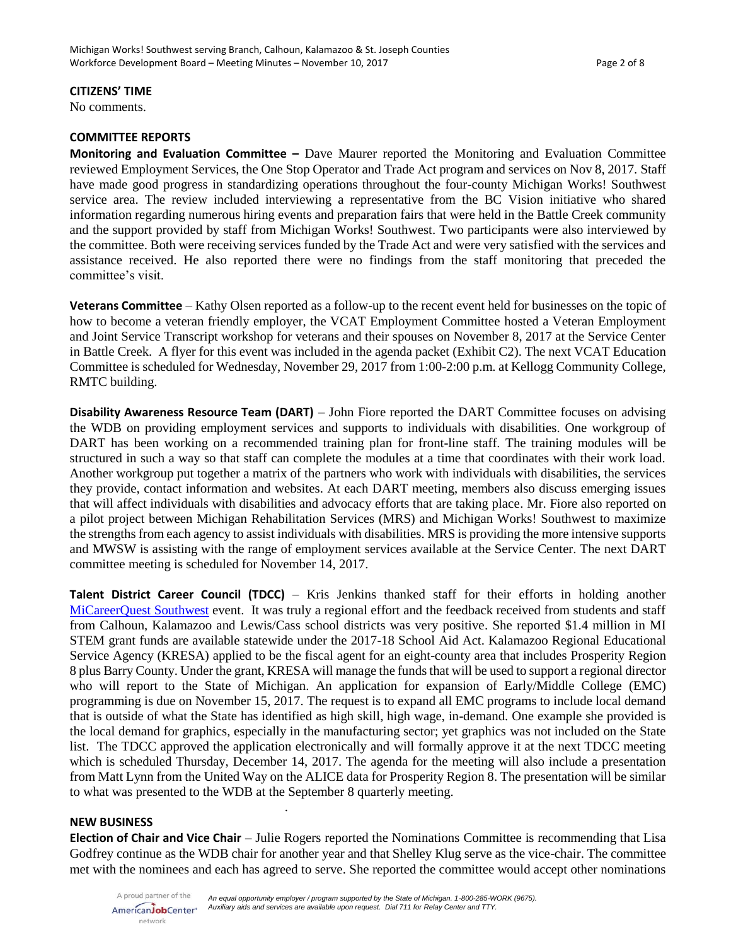#### **CITIZENS' TIME**

No comments.

### **COMMITTEE REPORTS**

**Monitoring and Evaluation Committee –** Dave Maurer reported the Monitoring and Evaluation Committee reviewed Employment Services, the One Stop Operator and Trade Act program and services on Nov 8, 2017. Staff have made good progress in standardizing operations throughout the four-county Michigan Works! Southwest service area. The review included interviewing a representative from the BC Vision initiative who shared information regarding numerous hiring events and preparation fairs that were held in the Battle Creek community and the support provided by staff from Michigan Works! Southwest. Two participants were also interviewed by the committee. Both were receiving services funded by the Trade Act and were very satisfied with the services and assistance received. He also reported there were no findings from the staff monitoring that preceded the committee's visit.

**Veterans Committee** – Kathy Olsen reported as a follow-up to the recent event held for businesses on the topic of how to become a veteran friendly employer, the VCAT Employment Committee hosted a Veteran Employment and Joint Service Transcript workshop for veterans and their spouses on November 8, 2017 at the Service Center in Battle Creek. A flyer for this event was included in the agenda packet (Exhibit C2). The next VCAT Education Committee is scheduled for Wednesday, November 29, 2017 from 1:00-2:00 p.m. at Kellogg Community College, RMTC building.

**Disability Awareness Resource Team (DART)** – John Fiore reported the DART Committee focuses on advising the WDB on providing employment services and supports to individuals with disabilities. One workgroup of DART has been working on a recommended training plan for front-line staff. The training modules will be structured in such a way so that staff can complete the modules at a time that coordinates with their work load. Another workgroup put together a matrix of the partners who work with individuals with disabilities, the services they provide, contact information and websites. At each DART meeting, members also discuss emerging issues that will affect individuals with disabilities and advocacy efforts that are taking place. Mr. Fiore also reported on a pilot project between Michigan Rehabilitation Services (MRS) and Michigan Works! Southwest to maximize the strengths from each agency to assist individuals with disabilities. MRS is providing the more intensive supports and MWSW is assisting with the range of employment services available at the Service Center. The next DART committee meeting is scheduled for November 14, 2017.

**Talent District Career Council (TDCC)** – Kris Jenkins thanked staff for their efforts in holding another [MiCareerQuest Southwest](http://www.micareerquestsw.org/) event. It was truly a regional effort and the feedback received from students and staff from Calhoun, Kalamazoo and Lewis/Cass school districts was very positive. She reported \$1.4 million in MI STEM grant funds are available statewide under the 2017-18 School Aid Act. Kalamazoo Regional Educational Service Agency (KRESA) applied to be the fiscal agent for an eight-county area that includes Prosperity Region 8 plus Barry County. Under the grant, KRESA will manage the funds that will be used to support a regional director who will report to the State of Michigan. An application for expansion of Early/Middle College (EMC) programming is due on November 15, 2017. The request is to expand all EMC programs to include local demand that is outside of what the State has identified as high skill, high wage, in-demand. One example she provided is the local demand for graphics, especially in the manufacturing sector; yet graphics was not included on the State list. The TDCC approved the application electronically and will formally approve it at the next TDCC meeting which is scheduled Thursday, December 14, 2017. The agenda for the meeting will also include a presentation from Matt Lynn from the United Way on the ALICE data for Prosperity Region 8. The presentation will be similar to what was presented to the WDB at the September 8 quarterly meeting.

#### **NEW BUSINESS**

**Election of Chair and Vice Chair** – Julie Rogers reported the Nominations Committee is recommending that Lisa Godfrey continue as the WDB chair for another year and that Shelley Klug serve as the vice-chair. The committee met with the nominees and each has agreed to serve. She reported the committee would accept other nominations

.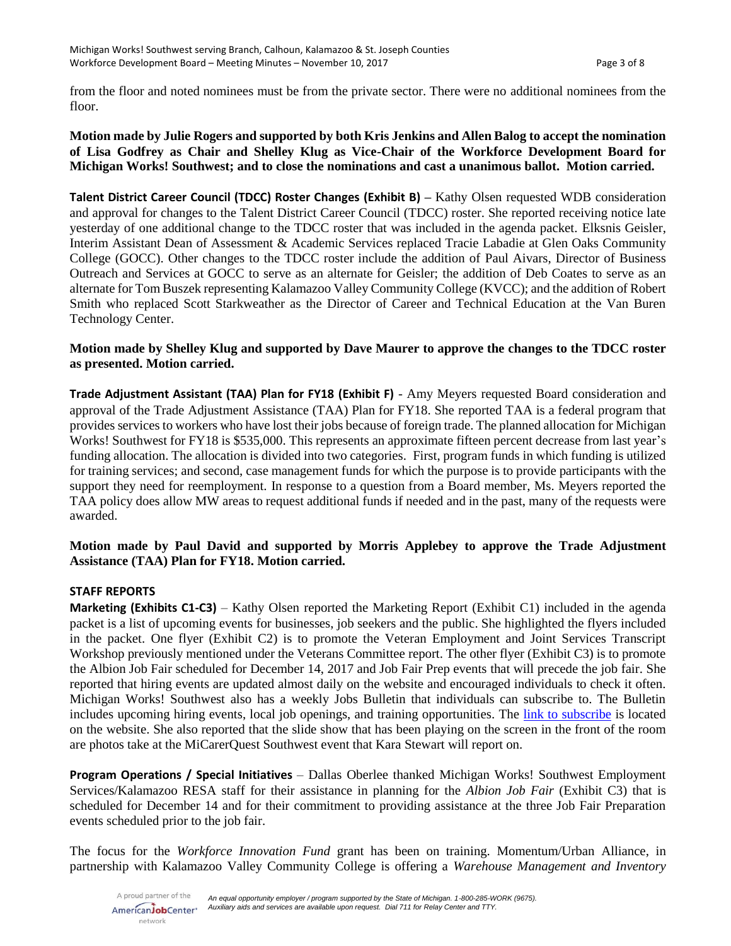from the floor and noted nominees must be from the private sector. There were no additional nominees from the floor.

# **Motion made by Julie Rogers and supported by both Kris Jenkins and Allen Balog to accept the nomination of Lisa Godfrey as Chair and Shelley Klug as Vice-Chair of the Workforce Development Board for Michigan Works! Southwest; and to close the nominations and cast a unanimous ballot. Motion carried.**

**Talent District Career Council (TDCC) Roster Changes (Exhibit B) –** Kathy Olsen requested WDB consideration and approval for changes to the Talent District Career Council (TDCC) roster. She reported receiving notice late yesterday of one additional change to the TDCC roster that was included in the agenda packet. Elksnis Geisler, Interim Assistant Dean of Assessment & Academic Services replaced Tracie Labadie at Glen Oaks Community College (GOCC). Other changes to the TDCC roster include the addition of Paul Aivars, Director of Business Outreach and Services at GOCC to serve as an alternate for Geisler; the addition of Deb Coates to serve as an alternate for Tom Buszek representing Kalamazoo Valley Community College (KVCC); and the addition of Robert Smith who replaced Scott Starkweather as the Director of Career and Technical Education at the Van Buren Technology Center.

# **Motion made by Shelley Klug and supported by Dave Maurer to approve the changes to the TDCC roster as presented. Motion carried.**

**Trade Adjustment Assistant (TAA) Plan for FY18 (Exhibit F)** - Amy Meyers requested Board consideration and approval of the Trade Adjustment Assistance (TAA) Plan for FY18. She reported TAA is a federal program that provides services to workers who have lost their jobs because of foreign trade. The planned allocation for Michigan Works! Southwest for FY18 is \$535,000. This represents an approximate fifteen percent decrease from last year's funding allocation. The allocation is divided into two categories. First, program funds in which funding is utilized for training services; and second, case management funds for which the purpose is to provide participants with the support they need for reemployment. In response to a question from a Board member, Ms. Meyers reported the TAA policy does allow MW areas to request additional funds if needed and in the past, many of the requests were awarded.

# **Motion made by Paul David and supported by Morris Applebey to approve the Trade Adjustment Assistance (TAA) Plan for FY18. Motion carried.**

# **STAFF REPORTS**

**Marketing (Exhibits C1-C3)** – Kathy Olsen reported the Marketing Report (Exhibit C1) included in the agenda packet is a list of upcoming events for businesses, job seekers and the public. She highlighted the flyers included in the packet. One flyer (Exhibit C2) is to promote the Veteran Employment and Joint Services Transcript Workshop previously mentioned under the Veterans Committee report. The other flyer (Exhibit C3) is to promote the Albion Job Fair scheduled for December 14, 2017 and Job Fair Prep events that will precede the job fair. She reported that hiring events are updated almost daily on the website and encouraged individuals to check it often. Michigan Works! Southwest also has a weekly Jobs Bulletin that individuals can subscribe to. The Bulletin includes upcoming hiring events, local job openings, and training opportunities. The [link to subscribe](https://madmimi.com/signups/231418/join) is located on the website. She also reported that the slide show that has been playing on the screen in the front of the room are photos take at the MiCarerQuest Southwest event that Kara Stewart will report on.

**Program Operations / Special Initiatives** – Dallas Oberlee thanked Michigan Works! Southwest Employment Services/Kalamazoo RESA staff for their assistance in planning for the *Albion Job Fair* (Exhibit C3) that is scheduled for December 14 and for their commitment to providing assistance at the three Job Fair Preparation events scheduled prior to the job fair.

The focus for the *Workforce Innovation Fund* grant has been on training. Momentum/Urban Alliance, in partnership with Kalamazoo Valley Community College is offering a *Warehouse Management and Inventory*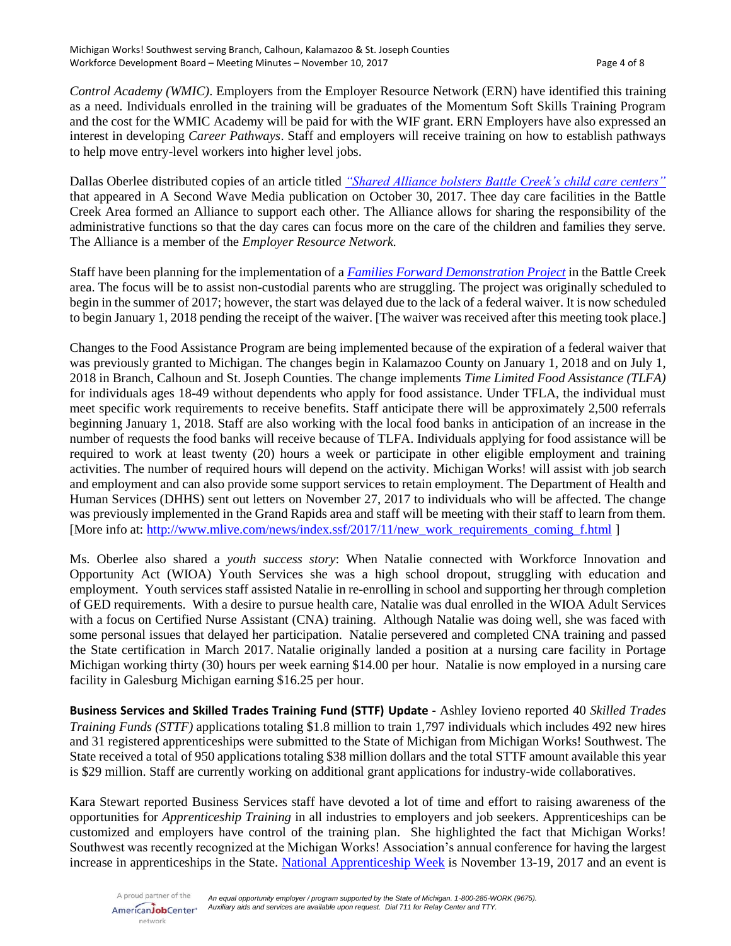*Control Academy (WMIC)*. Employers from the Employer Resource Network (ERN) have identified this training as a need. Individuals enrolled in the training will be graduates of the Momentum Soft Skills Training Program and the cost for the WMIC Academy will be paid for with the WIF grant. ERN Employers have also expressed an interest in developing *Career Pathways*. Staff and employers will receive training on how to establish pathways to help move entry-level workers into higher level jobs.

Dallas Oberlee distributed copies of an article titled *["Shared Alliance bolsters Battle Creek's child care centers"](http://www.secondwavemedia.com/southwest-michigan/features/Shared-Alliance-bolsters-Battle-Creek-s-child-care-centers-1030.aspx)* that appeared in A Second Wave Media publication on October 30, 2017. Thee day care facilities in the Battle Creek Area formed an Alliance to support each other. The Alliance allows for sharing the responsibility of the administrative functions so that the day cares can focus more on the care of the children and families they serve. The Alliance is a member of the *Employer Resource Network.*

Staff have been planning for the implementation of a *[Families Forward Demonstration Project](https://www.mdrc.org/project/families-forward-demonstration#overview)* in the Battle Creek area. The focus will be to assist non-custodial parents who are struggling. The project was originally scheduled to begin in the summer of 2017; however, the start was delayed due to the lack of a federal waiver. It is now scheduled to begin January 1, 2018 pending the receipt of the waiver. [The waiver was received after this meeting took place.]

Changes to the Food Assistance Program are being implemented because of the expiration of a federal waiver that was previously granted to Michigan. The changes begin in Kalamazoo County on January 1, 2018 and on July 1, 2018 in Branch, Calhoun and St. Joseph Counties. The change implements *Time Limited Food Assistance (TLFA)* for individuals ages 18-49 without dependents who apply for food assistance. Under TFLA, the individual must meet specific work requirements to receive benefits. Staff anticipate there will be approximately 2,500 referrals beginning January 1, 2018. Staff are also working with the local food banks in anticipation of an increase in the number of requests the food banks will receive because of TLFA. Individuals applying for food assistance will be required to work at least twenty (20) hours a week or participate in other eligible employment and training activities. The number of required hours will depend on the activity. Michigan Works! will assist with job search and employment and can also provide some support services to retain employment. The Department of Health and Human Services (DHHS) sent out letters on November 27, 2017 to individuals who will be affected. The change was previously implemented in the Grand Rapids area and staff will be meeting with their staff to learn from them. [More info at: [http://www.mlive.com/news/index.ssf/2017/11/new\\_work\\_requirements\\_coming\\_f.html](http://www.mlive.com/news/index.ssf/2017/11/new_work_requirements_coming_f.html) ]

Ms. Oberlee also shared a *youth success story*: When Natalie connected with Workforce Innovation and Opportunity Act (WIOA) Youth Services she was a high school dropout, struggling with education and employment. Youth services staff assisted Natalie in re-enrolling in school and supporting her through completion of GED requirements. With a desire to pursue health care, Natalie was dual enrolled in the WIOA Adult Services with a focus on Certified Nurse Assistant (CNA) training. Although Natalie was doing well, she was faced with some personal issues that delayed her participation. Natalie persevered and completed CNA training and passed the State certification in March 2017. Natalie originally landed a position at a nursing care facility in Portage Michigan working thirty (30) hours per week earning \$14.00 per hour. Natalie is now employed in a nursing care facility in Galesburg Michigan earning \$16.25 per hour.

**Business Services and Skilled Trades Training Fund (STTF) Update -** Ashley Iovieno reported 40 *Skilled Trades Training Funds (STTF)* applications totaling \$1.8 million to train 1,797 individuals which includes 492 new hires and 31 registered apprenticeships were submitted to the State of Michigan from Michigan Works! Southwest. The State received a total of 950 applications totaling \$38 million dollars and the total STTF amount available this year is \$29 million. Staff are currently working on additional grant applications for industry-wide collaboratives.

Kara Stewart reported Business Services staff have devoted a lot of time and effort to raising awareness of the opportunities for *Apprenticeship Training* in all industries to employers and job seekers. Apprenticeships can be customized and employers have control of the training plan. She highlighted the fact that Michigan Works! Southwest was recently recognized at the Michigan Works! Association's annual conference for having the largest increase in apprenticeships in the State. [National Apprenticeship Week](https://www.dol.gov/apprenticeship/NAW/) is November 13-19, 2017 and an event is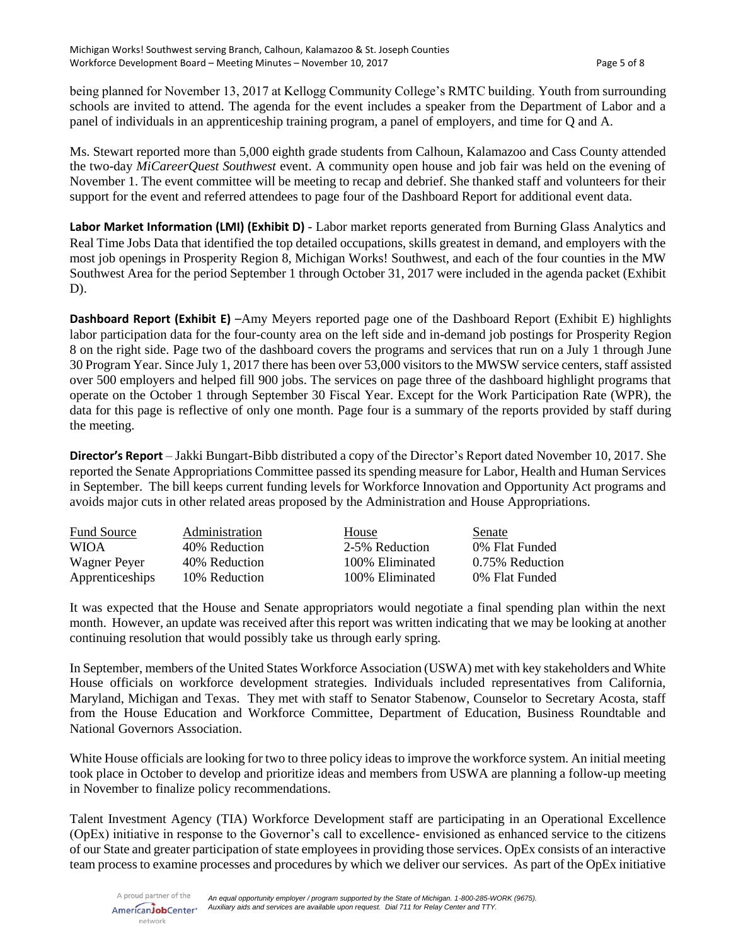being planned for November 13, 2017 at Kellogg Community College's RMTC building. Youth from surrounding schools are invited to attend. The agenda for the event includes a speaker from the Department of Labor and a panel of individuals in an apprenticeship training program, a panel of employers, and time for Q and A.

Ms. Stewart reported more than 5,000 eighth grade students from Calhoun, Kalamazoo and Cass County attended the two-day *MiCareerQuest Southwest* event. A community open house and job fair was held on the evening of November 1. The event committee will be meeting to recap and debrief. She thanked staff and volunteers for their support for the event and referred attendees to page four of the Dashboard Report for additional event data.

**Labor Market Information (LMI) (Exhibit D)** - Labor market reports generated from Burning Glass Analytics and Real Time Jobs Data that identified the top detailed occupations, skills greatest in demand, and employers with the most job openings in Prosperity Region 8, Michigan Works! Southwest, and each of the four counties in the MW Southwest Area for the period September 1 through October 31, 2017 were included in the agenda packet (Exhibit D).

**Dashboard Report (Exhibit E)** –Amy Meyers reported page one of the Dashboard Report (Exhibit E) highlights labor participation data for the four-county area on the left side and in-demand job postings for Prosperity Region 8 on the right side. Page two of the dashboard covers the programs and services that run on a July 1 through June 30 Program Year. Since July 1, 2017 there has been over 53,000 visitors to the MWSW service centers, staff assisted over 500 employers and helped fill 900 jobs. The services on page three of the dashboard highlight programs that operate on the October 1 through September 30 Fiscal Year. Except for the Work Participation Rate (WPR), the data for this page is reflective of only one month. Page four is a summary of the reports provided by staff during the meeting.

**Director's Report** – Jakki Bungart-Bibb distributed a copy of the Director's Report dated November 10, 2017. She reported the Senate Appropriations Committee passed its spending measure for Labor, Health and Human Services in September. The bill keeps current funding levels for Workforce Innovation and Opportunity Act programs and avoids major cuts in other related areas proposed by the Administration and House Appropriations.

| <b>Fund Source</b> | Administration | House           | Senate          |
|--------------------|----------------|-----------------|-----------------|
| <b>WIOA</b>        | 40% Reduction  | 2-5% Reduction  | 0% Flat Funded  |
| Wagner Peyer       | 40% Reduction  | 100% Eliminated | 0.75% Reduction |
| Apprenticeships    | 10% Reduction  | 100% Eliminated | 0% Flat Funded  |

It was expected that the House and Senate appropriators would negotiate a final spending plan within the next month. However, an update was received after this report was written indicating that we may be looking at another continuing resolution that would possibly take us through early spring.

In September, members of the United States Workforce Association (USWA) met with key stakeholders and White House officials on workforce development strategies. Individuals included representatives from California, Maryland, Michigan and Texas. They met with staff to Senator Stabenow, Counselor to Secretary Acosta, staff from the House Education and Workforce Committee, Department of Education, Business Roundtable and National Governors Association.

White House officials are looking for two to three policy ideas to improve the workforce system. An initial meeting took place in October to develop and prioritize ideas and members from USWA are planning a follow-up meeting in November to finalize policy recommendations.

Talent Investment Agency (TIA) Workforce Development staff are participating in an Operational Excellence (OpEx) initiative in response to the Governor's call to excellence- envisioned as enhanced service to the citizens of our State and greater participation of state employees in providing those services. OpEx consists of an interactive team process to examine processes and procedures by which we deliver our services. As part of the OpEx initiative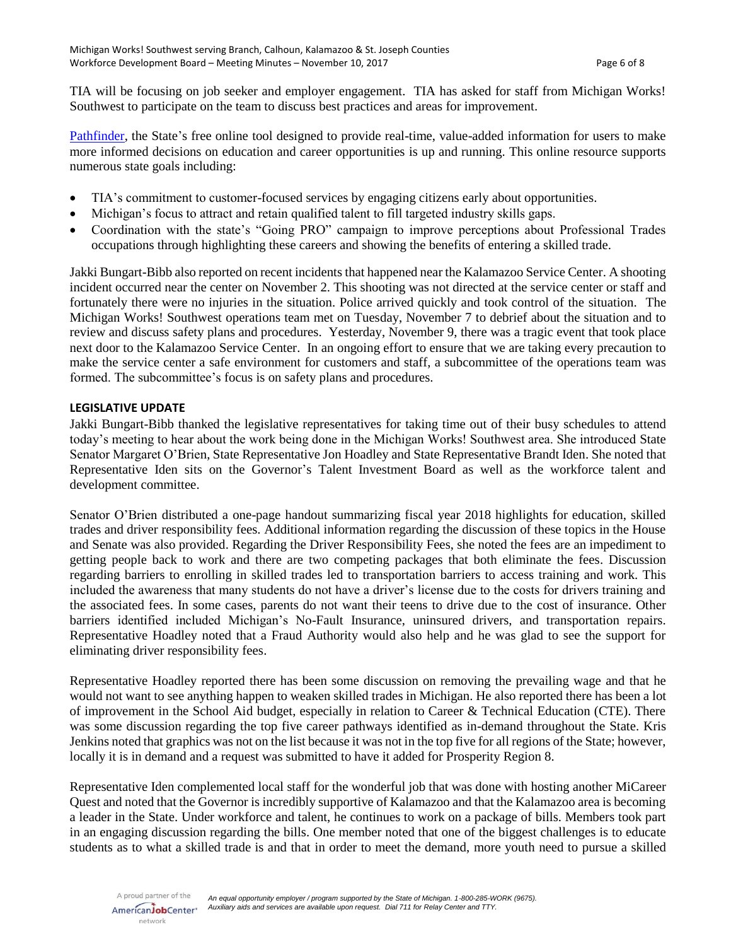TIA will be focusing on job seeker and employer engagement. TIA has asked for staff from Michigan Works! Southwest to participate on the team to discuss best practices and areas for improvement.

[Pathfinder,](https://pathfinder.mitalent.org/#/home) the State's free online tool designed to provide real-time, value-added information for users to make more informed decisions on education and career opportunities is up and running. This online resource supports numerous state goals including:

- TIA's commitment to customer-focused services by engaging citizens early about opportunities.
- Michigan's focus to attract and retain qualified talent to fill targeted industry skills gaps.
- Coordination with the state's "Going PRO" campaign to improve perceptions about Professional Trades occupations through highlighting these careers and showing the benefits of entering a skilled trade.

Jakki Bungart-Bibb also reported on recent incidents that happened near the Kalamazoo Service Center. A shooting incident occurred near the center on November 2. This shooting was not directed at the service center or staff and fortunately there were no injuries in the situation. Police arrived quickly and took control of the situation. The Michigan Works! Southwest operations team met on Tuesday, November 7 to debrief about the situation and to review and discuss safety plans and procedures. Yesterday, November 9, there was a tragic event that took place next door to the Kalamazoo Service Center. In an ongoing effort to ensure that we are taking every precaution to make the service center a safe environment for customers and staff, a subcommittee of the operations team was formed. The subcommittee's focus is on safety plans and procedures.

#### **LEGISLATIVE UPDATE**

Jakki Bungart-Bibb thanked the legislative representatives for taking time out of their busy schedules to attend today's meeting to hear about the work being done in the Michigan Works! Southwest area. She introduced State Senator Margaret O'Brien, State Representative Jon Hoadley and State Representative Brandt Iden. She noted that Representative Iden sits on the Governor's Talent Investment Board as well as the workforce talent and development committee.

Senator O'Brien distributed a one-page handout summarizing fiscal year 2018 highlights for education, skilled trades and driver responsibility fees. Additional information regarding the discussion of these topics in the House and Senate was also provided. Regarding the Driver Responsibility Fees, she noted the fees are an impediment to getting people back to work and there are two competing packages that both eliminate the fees. Discussion regarding barriers to enrolling in skilled trades led to transportation barriers to access training and work. This included the awareness that many students do not have a driver's license due to the costs for drivers training and the associated fees. In some cases, parents do not want their teens to drive due to the cost of insurance. Other barriers identified included Michigan's No-Fault Insurance, uninsured drivers, and transportation repairs. Representative Hoadley noted that a Fraud Authority would also help and he was glad to see the support for eliminating driver responsibility fees.

Representative Hoadley reported there has been some discussion on removing the prevailing wage and that he would not want to see anything happen to weaken skilled trades in Michigan. He also reported there has been a lot of improvement in the School Aid budget, especially in relation to Career & Technical Education (CTE). There was some discussion regarding the top five career pathways identified as in-demand throughout the State. Kris Jenkins noted that graphics was not on the list because it was not in the top five for all regions of the State; however, locally it is in demand and a request was submitted to have it added for Prosperity Region 8.

Representative Iden complemented local staff for the wonderful job that was done with hosting another MiCareer Quest and noted that the Governor is incredibly supportive of Kalamazoo and that the Kalamazoo area is becoming a leader in the State. Under workforce and talent, he continues to work on a package of bills. Members took part in an engaging discussion regarding the bills. One member noted that one of the biggest challenges is to educate students as to what a skilled trade is and that in order to meet the demand, more youth need to pursue a skilled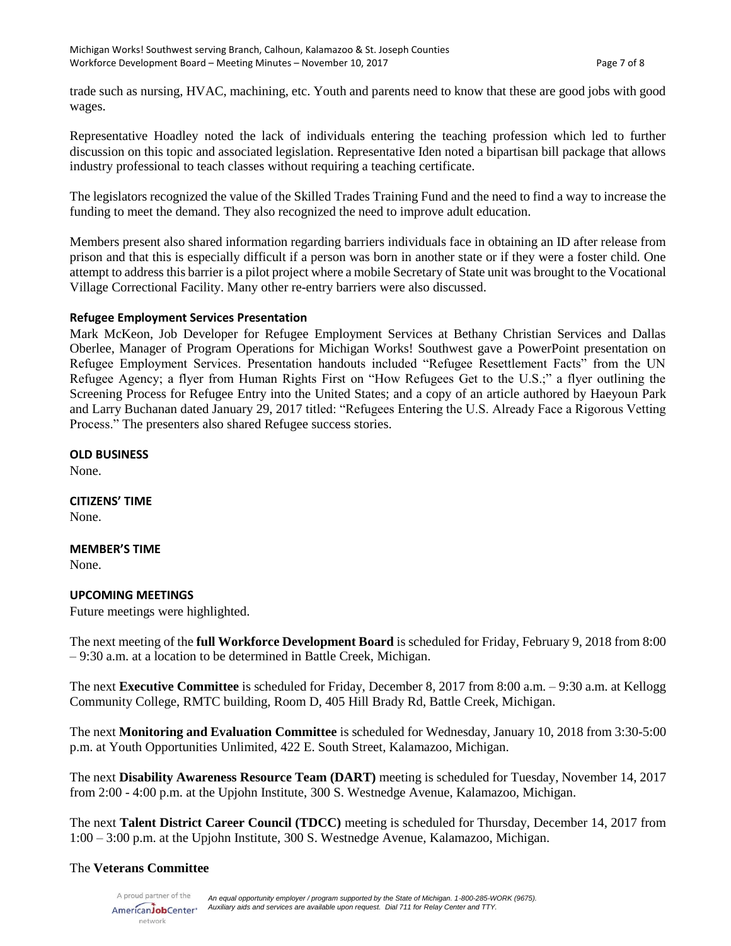trade such as nursing, HVAC, machining, etc. Youth and parents need to know that these are good jobs with good wages.

Representative Hoadley noted the lack of individuals entering the teaching profession which led to further discussion on this topic and associated legislation. Representative Iden noted a bipartisan bill package that allows industry professional to teach classes without requiring a teaching certificate.

The legislators recognized the value of the Skilled Trades Training Fund and the need to find a way to increase the funding to meet the demand. They also recognized the need to improve adult education.

Members present also shared information regarding barriers individuals face in obtaining an ID after release from prison and that this is especially difficult if a person was born in another state or if they were a foster child. One attempt to address this barrier is a pilot project where a mobile Secretary of State unit was brought to the Vocational Village Correctional Facility. Many other re-entry barriers were also discussed.

#### **Refugee Employment Services Presentation**

Mark McKeon, Job Developer for Refugee Employment Services at Bethany Christian Services and Dallas Oberlee, Manager of Program Operations for Michigan Works! Southwest gave a PowerPoint presentation on Refugee Employment Services. Presentation handouts included "Refugee Resettlement Facts" from the UN Refugee Agency; a flyer from Human Rights First on "How Refugees Get to the U.S.;" a flyer outlining the Screening Process for Refugee Entry into the United States; and a copy of an article authored by Haeyoun Park and Larry Buchanan dated January 29, 2017 titled: "Refugees Entering the U.S. Already Face a Rigorous Vetting Process." The presenters also shared Refugee success stories.

### **OLD BUSINESS**

None.

**CITIZENS' TIME** None.

# **MEMBER'S TIME**

None.

# **UPCOMING MEETINGS**

Future meetings were highlighted.

The next meeting of the **full Workforce Development Board** is scheduled for Friday, February 9, 2018 from 8:00 – 9:30 a.m. at a location to be determined in Battle Creek, Michigan.

The next **Executive Committee** is scheduled for Friday, December 8, 2017 from 8:00 a.m. – 9:30 a.m. at Kellogg Community College, RMTC building, Room D, 405 Hill Brady Rd, Battle Creek, Michigan.

The next **Monitoring and Evaluation Committee** is scheduled for Wednesday, January 10, 2018 from 3:30-5:00 p.m. at Youth Opportunities Unlimited, 422 E. South Street, Kalamazoo, Michigan.

The next **Disability Awareness Resource Team (DART)** meeting is scheduled for Tuesday, November 14, 2017 from 2:00 - 4:00 p.m. at the Upjohn Institute, 300 S. Westnedge Avenue, Kalamazoo, Michigan.

The next **Talent District Career Council (TDCC)** meeting is scheduled for Thursday, December 14, 2017 from 1:00 – 3:00 p.m. at the Upjohn Institute, 300 S. Westnedge Avenue, Kalamazoo, Michigan.

# The **Veterans Committee**

A proud partner of the AmericanJobCenter<sup>®</sup> network

*An equal opportunity employer / program supported by the State of Michigan. 1-800-285-WORK (9675). Auxiliary aids and services are available upon request. Dial 711 for Relay Center and TTY.*